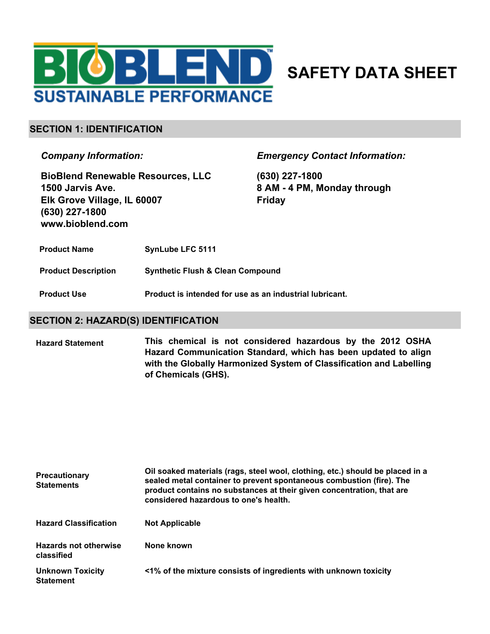

# **SAFETY DATA SHEET**

### **SECTION 1: IDENTIFICATION**

*Company Information:*

**BioBlend Renewable Resources, LLC 1500 Jarvis Ave. Elk Grove Village, IL 60007 (630) 227-1800 www.bioblend.com**

*Emergency Contact Information:*

**(630) 227-1800 8 AM - 4 PM, Monday through Friday**

- **Product Name SynLube LFC 5111**
- **Product Description Synthetic Flush & Clean Compound**
- **Product Use Product is intended for use as an industrial lubricant.**

### **SECTION 2: HAZARD(S) IDENTIFICATION**

**This chemical is not considered hazardous by the 2012 OSHA Hazard Communication Standard, which has been updated to align with the Globally Harmonized System of Classification and Labelling of Chemicals (GHS). Hazard Statement**

| <b>Precautionary</b><br><b>Statements</b>   | Oil soaked materials (rags, steel wool, clothing, etc.) should be placed in a<br>sealed metal container to prevent spontaneous combustion (fire). The<br>product contains no substances at their given concentration, that are<br>considered hazardous to one's health. |  |
|---------------------------------------------|-------------------------------------------------------------------------------------------------------------------------------------------------------------------------------------------------------------------------------------------------------------------------|--|
| <b>Hazard Classification</b>                | <b>Not Applicable</b>                                                                                                                                                                                                                                                   |  |
| <b>Hazards not otherwise</b><br>classified  | None known                                                                                                                                                                                                                                                              |  |
| <b>Unknown Toxicity</b><br><b>Statement</b> | <1% of the mixture consists of ingredients with unknown toxicity                                                                                                                                                                                                        |  |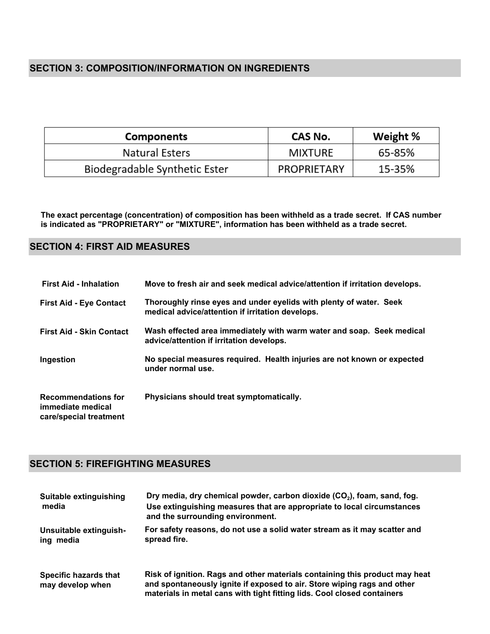## **SECTION 3: COMPOSITION/INFORMATION ON INGREDIENTS**

| <b>Components</b>             | CAS No.        | Weight % |
|-------------------------------|----------------|----------|
| Natural Esters                | <b>MIXTURE</b> | 65-85%   |
| Biodegradable Synthetic Ester | PROPRIETARY    | 15-35%   |

**The exact percentage (concentration) of composition has been withheld as a trade secret. If CAS number is indicated as "PROPRIETARY" or "MIXTURE", information has been withheld as a trade secret.**

## **SECTION 4: FIRST AID MEASURES**

| <b>First Aid - Inhalation</b>                                             | Move to fresh air and seek medical advice/attention if irritation develops.                                            |
|---------------------------------------------------------------------------|------------------------------------------------------------------------------------------------------------------------|
| <b>First Aid - Eye Contact</b>                                            | Thoroughly rinse eyes and under eyelids with plenty of water. Seek<br>medical advice/attention if irritation develops. |
| <b>First Aid - Skin Contact</b>                                           | Wash effected area immediately with warm water and soap. Seek medical<br>advice/attention if irritation develops.      |
| Ingestion                                                                 | No special measures required. Health injuries are not known or expected<br>under normal use.                           |
| <b>Recommendations for</b><br>immediate medical<br>care/special treatment | Physicians should treat symptomatically.                                                                               |

## **SECTION 5: FIREFIGHTING MEASURES**

| Suitable extinguishing<br>media                  | Dry media, dry chemical powder, carbon dioxide (CO <sub>2</sub> ), foam, sand, fog.<br>Use extinguishing measures that are appropriate to local circumstances<br>and the surrounding environment.                                 |
|--------------------------------------------------|-----------------------------------------------------------------------------------------------------------------------------------------------------------------------------------------------------------------------------------|
| Unsuitable extinguish-<br>ing media              | For safety reasons, do not use a solid water stream as it may scatter and<br>spread fire.                                                                                                                                         |
| <b>Specific hazards that</b><br>may develop when | Risk of ignition. Rags and other materials containing this product may heat<br>and spontaneously ignite if exposed to air. Store wiping rags and other<br>materials in metal cans with tight fitting lids. Cool closed containers |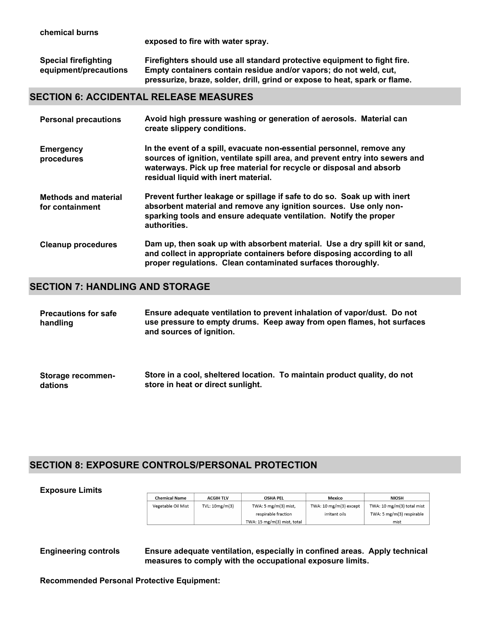**exposed to fire with water spray.**

| <b>Special firefighting</b> | Firefighters should use all standard protective equipment to fight fire.   |  |
|-----------------------------|----------------------------------------------------------------------------|--|
| equipment/precautions       | Empty containers contain residue and/or vapors; do not weld, cut,          |  |
|                             | pressurize, braze, solder, drill, grind or expose to heat, spark or flame. |  |

### **SECTION 6: ACCIDENTAL RELEASE MEASURES**

| <b>Personal precautions</b>                    | Avoid high pressure washing or generation of aerosols. Material can<br>create slippery conditions.                                                                                                                                                                   |
|------------------------------------------------|----------------------------------------------------------------------------------------------------------------------------------------------------------------------------------------------------------------------------------------------------------------------|
| <b>Emergency</b><br>procedures                 | In the event of a spill, evacuate non-essential personnel, remove any<br>sources of ignition, ventilate spill area, and prevent entry into sewers and<br>waterways. Pick up free material for recycle or disposal and absorb<br>residual liquid with inert material. |
| <b>Methods and material</b><br>for containment | Prevent further leakage or spillage if safe to do so. Soak up with inert<br>absorbent material and remove any ignition sources. Use only non-<br>sparking tools and ensure adequate ventilation. Notify the proper<br>authorities.                                   |
| <b>Cleanup procedures</b>                      | Dam up, then soak up with absorbent material. Use a dry spill kit or sand,<br>and collect in appropriate containers before disposing according to all<br>proper regulations. Clean contaminated surfaces thoroughly.                                                 |

## **SECTION 7: HANDLING AND STORAGE**

| <b>Precautions for safe</b> | Ensure adequate ventilation to prevent inhalation of vapor/dust. Do not |
|-----------------------------|-------------------------------------------------------------------------|
| handling                    | use pressure to empty drums. Keep away from open flames, hot surfaces   |
|                             | and sources of ignition.                                                |

| <b>Storage recommen-</b> |                                   | Store in a cool, sheltered location. To maintain product quality, do not |
|--------------------------|-----------------------------------|--------------------------------------------------------------------------|
| dations                  | store in heat or direct sunlight. |                                                                          |

## **SECTION 8: EXPOSURE CONTROLS/PERSONAL PROTECTION**

#### **Exposure Limits**

| <b>Chemical Name</b> | <b>ACGIH TLV</b> | <b>OSHA PEL</b>                         | Mexico                 | <b>NIOSH</b>               |
|----------------------|------------------|-----------------------------------------|------------------------|----------------------------|
| Vegetable Oil Mist   | TVL: 10mg/m(3)   | TWA: $5 \text{ mg/m}(3) \text{ mist}$ , | TWA: 10 mg/m(3) except | TWA: 10 mg/m(3) total mist |
|                      |                  | respirable fraction                     | irritant oils          | TWA: 5 mg/m(3) respirable  |
|                      |                  | TWA: 15 mg/m(3) mist, total             |                        | mist                       |

**Engineering controls Ensure adequate ventilation, especially in confined areas. Apply technical measures to comply with the occupational exposure limits.**

**Recommended Personal Protective Equipment:**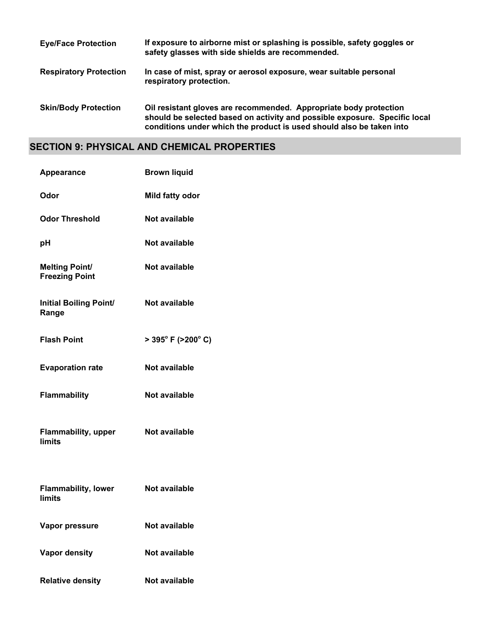| <b>Eye/Face Protection</b>    | If exposure to airborne mist or splashing is possible, safety goggles or<br>safety glasses with side shields are recommended.                                                                                           |
|-------------------------------|-------------------------------------------------------------------------------------------------------------------------------------------------------------------------------------------------------------------------|
| <b>Respiratory Protection</b> | In case of mist, spray or aerosol exposure, wear suitable personal<br>respiratory protection.                                                                                                                           |
| <b>Skin/Body Protection</b>   | Oil resistant gloves are recommended. Appropriate body protection<br>should be selected based on activity and possible exposure. Specific local<br>conditions under which the product is used should also be taken into |

## **SECTION 9: PHYSICAL AND CHEMICAL PROPERTIES**

| <b>Appearance</b>                              | <b>Brown liquid</b>                      |
|------------------------------------------------|------------------------------------------|
| Odor                                           | Mild fatty odor                          |
| <b>Odor Threshold</b>                          | Not available                            |
| рH                                             | Not available                            |
| <b>Melting Point/</b><br><b>Freezing Point</b> | Not available                            |
| <b>Initial Boiling Point/</b><br>Range         | <b>Not available</b>                     |
| <b>Flash Point</b>                             | $>$ 395 $^{\circ}$ F (>200 $^{\circ}$ C) |
| <b>Evaporation rate</b>                        | Not available                            |
| Flammability                                   | Not available                            |
| <b>Flammability, upper</b><br><b>limits</b>    | Not available                            |
| <b>Flammability, lower</b><br>limits           | Not available                            |
| Vapor pressure                                 | Not available                            |
| <b>Vapor density</b>                           | Not available                            |
| <b>Relative density</b>                        | Not available                            |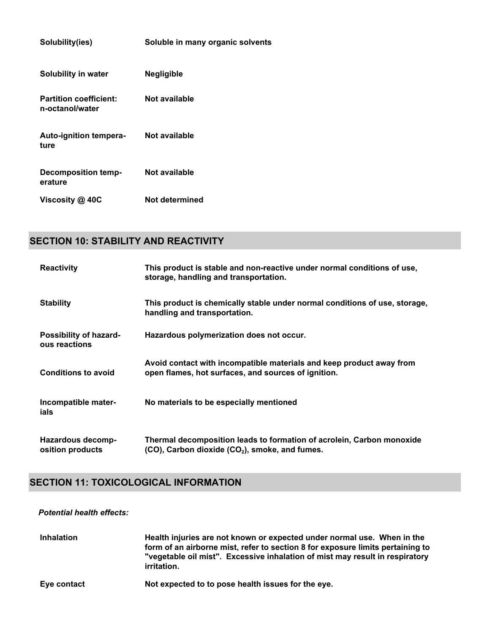| Solubility(ies)                                  | Soluble in many organic solvents |
|--------------------------------------------------|----------------------------------|
| Solubility in water                              | <b>Negligible</b>                |
| <b>Partition coefficient:</b><br>n-octanol/water | Not available                    |
| Auto-ignition tempera-<br>ture                   | Not available                    |
| <b>Decomposition temp-</b><br>erature            | Not available                    |
| Viscosity @ 40C                                  | Not determined                   |

## **SECTION 10: STABILITY AND REACTIVITY**

| <b>Reactivity</b>                            | This product is stable and non-reactive under normal conditions of use,<br>storage, handling and transportation.             |
|----------------------------------------------|------------------------------------------------------------------------------------------------------------------------------|
| <b>Stability</b>                             | This product is chemically stable under normal conditions of use, storage,<br>handling and transportation.                   |
| Possibility of hazard-<br>ous reactions      | Hazardous polymerization does not occur.                                                                                     |
| <b>Conditions to avoid</b>                   | Avoid contact with incompatible materials and keep product away from<br>open flames, hot surfaces, and sources of ignition.  |
| Incompatible mater-<br>ials                  | No materials to be especially mentioned                                                                                      |
| <b>Hazardous decomp-</b><br>osition products | Thermal decomposition leads to formation of acrolein, Carbon monoxide<br>$(CO)$ , Carbon dioxide $(CO2)$ , smoke, and fumes. |

## **SECTION 11: TOXICOLOGICAL INFORMATION**

#### *Potential health effects:*

| <b>Inhalation</b> | Health injuries are not known or expected under normal use. When in the<br>form of an airborne mist, refer to section 8 for exposure limits pertaining to<br>"vegetable oil mist". Excessive inhalation of mist may result in respiratory<br><i>irritation.</i> |
|-------------------|-----------------------------------------------------------------------------------------------------------------------------------------------------------------------------------------------------------------------------------------------------------------|
| Eye contact       | Not expected to to pose health issues for the eye.                                                                                                                                                                                                              |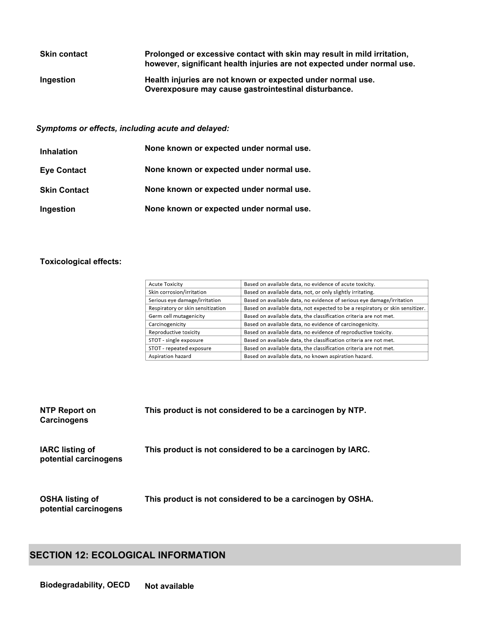| <b>Skin contact</b> | Prolonged or excessive contact with skin may result in mild irritation,<br>however, significant health injuries are not expected under normal use. |
|---------------------|----------------------------------------------------------------------------------------------------------------------------------------------------|
| Ingestion           | Health injuries are not known or expected under normal use.<br>Overexposure may cause gastrointestinal disturbance.                                |

*Symptoms or effects, including acute and delayed:*

| <b>Inhalation</b>   | None known or expected under normal use. |
|---------------------|------------------------------------------|
| <b>Eye Contact</b>  | None known or expected under normal use. |
| <b>Skin Contact</b> | None known or expected under normal use. |
| Ingestion           | None known or expected under normal use. |

## **Toxicological effects:**

| <b>Acute Toxicity</b>             | Based on available data, no evidence of acute toxicity.                       |
|-----------------------------------|-------------------------------------------------------------------------------|
| Skin corrosion/irritation         | Based on available data, not, or only slightly irritating.                    |
| Serious eye damage/irritation     | Based on available data, no evidence of serious eye damage/irritation         |
| Respiratory or skin sensitization | Based on available data, not expected to be a respiratory or skin sensitizer. |
| Germ cell mutagenicity            | Based on available data, the classification criteria are not met.             |
| Carcinogenicity                   | Based on available data, no evidence of carcinogenicity.                      |
| Reproductive toxicity             | Based on available data, no evidence of reproductive toxicity.                |
| STOT - single exposure            | Based on available data, the classification criteria are not met.             |
| STOT - repeated exposure          | Based on available data, the classification criteria are not met.             |
| Aspiration hazard                 | Based on available data, no known aspiration hazard.                          |

| NTP Report on<br>Carcinogens                    | This product is not considered to be a carcinogen by NTP.  |
|-------------------------------------------------|------------------------------------------------------------|
| <b>IARC</b> listing of<br>potential carcinogens | This product is not considered to be a carcinogen by IARC. |
| <b>OSHA listing of</b><br>potential carcinogens | This product is not considered to be a carcinogen by OSHA. |

## **SECTION 12: ECOLOGICAL INFORMATION**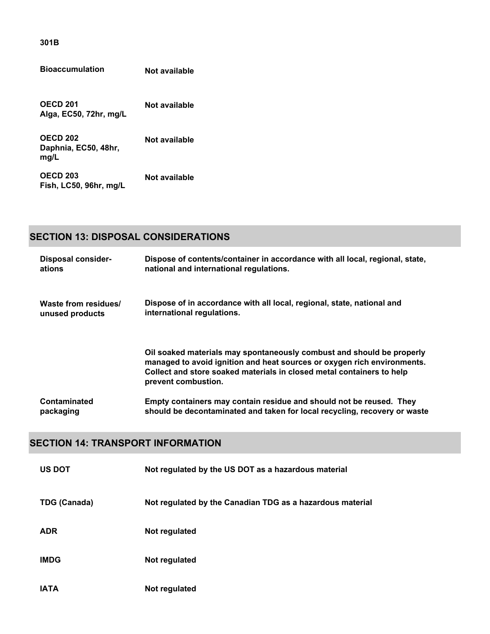| .                    |  |
|----------------------|--|
|                      |  |
|                      |  |
| <b>Bioaccumulati</b> |  |

**Bioaccumulation Not available**

**OECD 201 Alga, EC50, 72hr, mg/L Not available**

**OECD 202 Daphnia, EC50, 48hr, mg/L Not available**

**OECD 203 Fish, LC50, 96hr, mg/L Not available**

## **SECTION 13: DISPOSAL CONSIDERATIONS**

| <b>Disposal consider-</b> | Dispose of contents/container in accordance with all local, regional, state,                                                                                                                                                                     |
|---------------------------|--------------------------------------------------------------------------------------------------------------------------------------------------------------------------------------------------------------------------------------------------|
| ations                    | national and international regulations.                                                                                                                                                                                                          |
| Waste from residues/      | Dispose of in accordance with all local, regional, state, national and                                                                                                                                                                           |
| unused products           | international regulations.                                                                                                                                                                                                                       |
|                           | Oil soaked materials may spontaneously combust and should be properly<br>managed to avoid ignition and heat sources or oxygen rich environments.<br>Collect and store soaked materials in closed metal containers to help<br>prevent combustion. |
| Contaminated              | Empty containers may contain residue and should not be reused. They                                                                                                                                                                              |
| packaging                 | should be decontaminated and taken for local recycling, recovery or waste                                                                                                                                                                        |

## **SECTION 14: TRANSPORT INFORMATION**

| <b>US DOT</b>       | Not regulated by the US DOT as a hazardous material       |
|---------------------|-----------------------------------------------------------|
| <b>TDG (Canada)</b> | Not regulated by the Canadian TDG as a hazardous material |
| <b>ADR</b>          | Not regulated                                             |
| <b>IMDG</b>         | Not regulated                                             |
| <b>IATA</b>         | Not regulated                                             |

**301B**